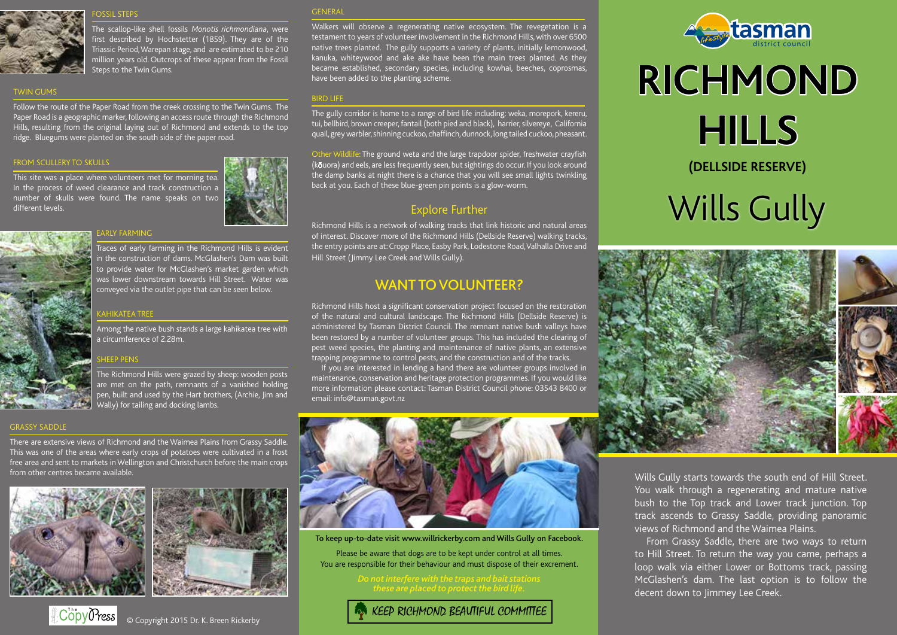

**SSCIL STEP** 

The scallop-like shell fossils *Monotis richmondiana*, were first described by Hochstetter (1859). They are of the Triassic Period, Warepan stage, and are estimated to be 210 million years old. Outcrops of these appear from the Fossil Steps to the Twin Gums.

## TWIN GUMS

Follow the route of the Paper Road from the creek crossing to the Twin Gums. The Paper Road is a geographic marker, following an access route through the Richmond Hills, resulting from the original laying out of Richmond and extends to the top ridge. Bluegums were planted on the south side of the paper road.

### FROM SCULLERY TO SKULLS

This site was a place where volunteers met for morning tea. In the process of weed clearance and track construction a number of skulls were found. The name speaks on two different levels.



#### EARLY FARMING



Among the native bush stands a large kahikatea tree with a circumference of 2.28m.

Traces of early farming in the Richmond Hills is evident in the construction of dams. McGlashen's Dam was built to provide water for McGlashen's market garden which was lower downstream towards Hill Street. Water was conveyed via the outlet pipe that can be seen below.

## **HEEP PENS**

KAHIKATEA TREE

The Richmond Hills were grazed by sheep: wooden posts are met on the path, remnants of a vanished holding pen, built and used by the Hart brothers, (Archie, Jim and Wally) for tailing and docking lambs.

## **GENERA**

Walkers will observe a regenerating native ecosystem. The revegetation is a testament to years of volunteer involvement in the Richmond Hills, with over 6500 native trees planted. The gully supports a variety of plants, initially lemonwood, kanuka, whiteywood and ake ake have been the main trees planted. As they became established, secondary species, including kowhai, beeches, coprosmas, have been added to the planting scheme.

## BIRD LIFE

The gully corridor is home to a range of bird life including: weka, morepork, kereru, tui, bellbird, brown creeper, fantail (both pied and black), harrier, silvereye, California quail, grey warbler, shinning cuckoo, chaffinch, dunnock, long tailed cuckoo, pheasant.

Other Wildlife: The ground weta and the large trapdoor spider, freshwater crayfish (kŌuora) and eels, are less frequently seen, but sightings do occur. If you look around the damp banks at night there is a chance that you will see small lights twinkling back at you. Each of these blue-green pin points is a glow-worm.

## Explore Further

Richmond Hills is a network of walking tracks that link historic and natural areas of interest. Discover more of the Richmond Hills (Dellside Reserve) walking tracks, the entry points are at: Cropp Place, Easby Park, Lodestone Road, Valhalla Drive and Hill Street (Jimmy Lee Creek and Wills Gully).

## WANT TO VOLUNTEER?

Richmond Hills host a significant conservation project focused on the restoration of the natural and cultural landscape. The Richmond Hills (Dellside Reserve) is administered by Tasman District Council. The remnant native bush valleys have been restored by a number of volunteer groups. This has included the clearing of pest weed species, the planting and maintenance of native plants, an extensive trapping programme to control pests, and the construction and of the tracks.

If you are interested in lending a hand there are volunteer groups involved in maintenance, conservation and heritage protection programmes. If you would like more information please contact: Tasman District Council phone: 03543 8400 or email: info@tasman.govt.nz



# **RICHMOND HILLS** Wills Gully **(DELLSIDE RESERVE)**



## GRASSY SADDLE

There are extensive views of Richmond and the Waimea Plains from Grassy Saddle. This was one of the areas where early crops of potatoes were cultivated in a frost free area and sent to markets in Wellington and Christchurch before the main crops from other centres became available.





 $\mathbb{C}$ opy $\mathcal{O}$ ress

© Copyright 2015 Dr. K. Breen Rickerby



To keep up-to-date visit www.willrickerby.com and Wills Gully on Facebook.

Please be aware that dogs are to be kept under control at all times. You are responsible for their behaviour and must dispose of their excrement.

# KEEP RICHMOND BEAUTIFUL COMMITTEE

Wills Gully starts towards the south end of Hill Street. You walk through a regenerating and mature native bush to the Top track and Lower track junction. Top track ascends to Grassy Saddle, providing panoramic views of Richmond and the Waimea Plains.

From Grassy Saddle, there are two ways to return to Hill Street. To return the way you came, perhaps a loop walk via either Lower or Bottoms track, passing McGlashen's dam. The last option is to follow the decent down to Jimmey Lee Creek.